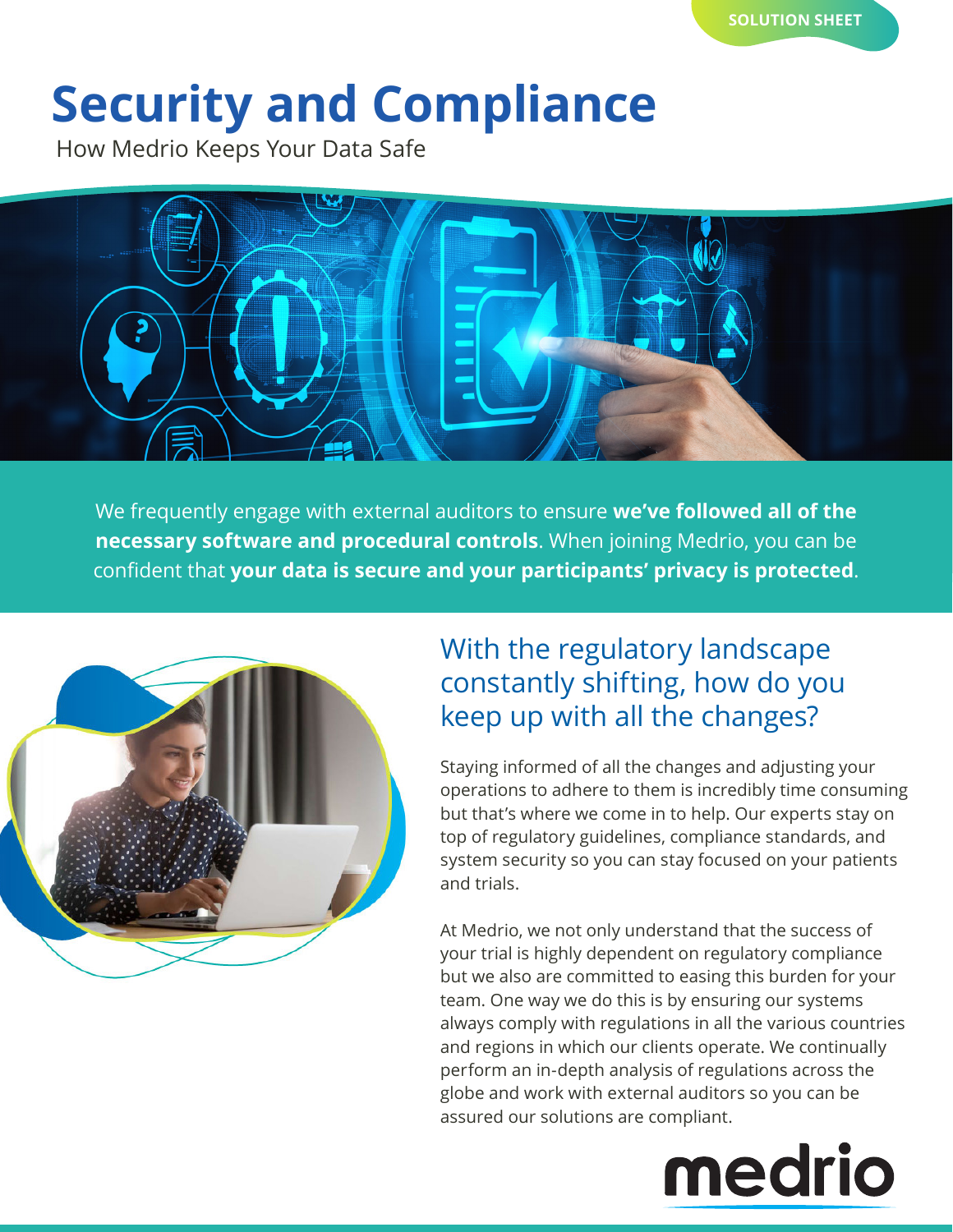# **Security and Compliance**

How Medrio Keeps Your Data Safe



We frequently engage with external auditors to ensure **we've followed all of the necessary software and procedural controls**. When joining Medrio, you can be confident that **your data is secure and your participants' privacy is protected**.



## With the regulatory landscape constantly shifting, how do you keep up with all the changes?

Staying informed of all the changes and adjusting your operations to adhere to them is incredibly time consuming but that's where we come in to help. Our experts stay on top of regulatory guidelines, compliance standards, and system security so you can stay focused on your patients and trials.

At Medrio, we not only understand that the success of your trial is highly dependent on regulatory compliance but we also are committed to easing this burden for your team. One way we do this is by ensuring our systems always comply with regulations in all the various countries and regions in which our clients operate. We continually perform an in-depth analysis of regulations across the globe and work with external auditors so you can be assured our solutions are compliant.

# medrio